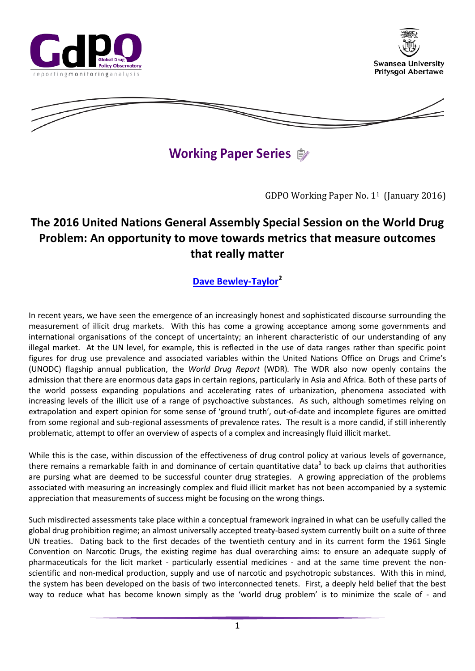





**Working Paper Series**  $\oplus$ 

GDPO Working Paper No. 11 (January 2016)

# **The 2016 United Nations General Assembly Special Session on the World Drug Problem: An opportunity to move towards metrics that measure outcomes that really matter**

# **[Dave Bewley-Taylor](mailto:d.r.taylor@swansea.ac.uk)<sup>2</sup>**

In recent years, we have seen the emergence of an increasingly honest and sophisticated discourse surrounding the measurement of illicit drug markets. With this has come a growing acceptance among some governments and international organisations of the concept of uncertainty; an inherent characteristic of our understanding of any illegal market. At the UN level, for example, this is reflected in the use of data ranges rather than specific point figures for drug use prevalence and associated variables within the United Nations Office on Drugs and Crime's (UNODC) flagship annual publication, the *World Drug Report* (WDR)*.* The WDR also now openly contains the admission that there are enormous data gaps in certain regions, particularly in Asia and Africa. Both of these parts of the world possess expanding populations and accelerating rates of urbanization, phenomena associated with increasing levels of the illicit use of a range of psychoactive substances. As such, although sometimes relying on extrapolation and expert opinion for some sense of 'ground truth', out-of-date and incomplete figures are omitted from some regional and sub-regional assessments of prevalence rates. The result is a more candid, if still inherently problematic, attempt to offer an overview of aspects of a complex and increasingly fluid illicit market.

While this is the case, within discussion of the effectiveness of drug control policy at various levels of governance, there remains a remarkable faith in and dominance of certain quantitative data<sup>3</sup> to back up claims that authorities are pursing what are deemed to be successful counter drug strategies. A growing appreciation of the problems associated with measuring an increasingly complex and fluid illicit market has not been accompanied by a systemic appreciation that measurements of success might be focusing on the wrong things.

Such misdirected assessments take place within a conceptual framework ingrained in what can be usefully called the global drug prohibition regime; an almost universally accepted treaty-based system currently built on a suite of three UN treaties. Dating back to the first decades of the twentieth century and in its current form the 1961 Single Convention on Narcotic Drugs, the existing regime has dual overarching aims: to ensure an adequate supply of pharmaceuticals for the licit market - particularly essential medicines - and at the same time prevent the nonscientific and non-medical production, supply and use of narcotic and psychotropic substances. With this in mind, the system has been developed on the basis of two interconnected tenets. First, a deeply held belief that the best way to reduce what has become known simply as the 'world drug problem' is to minimize the scale of - and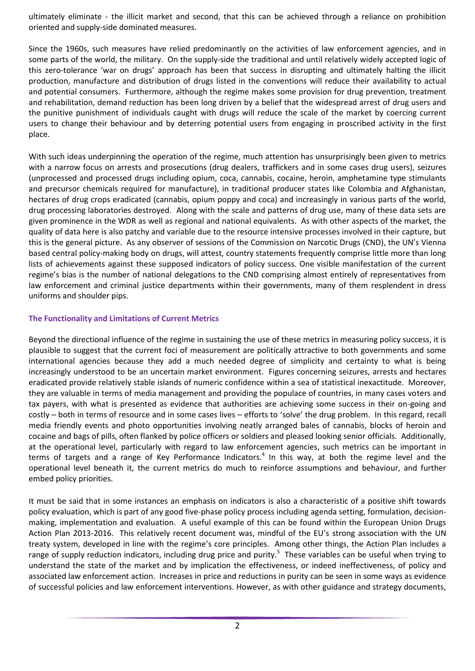ultimately eliminate - the illicit market and second, that this can be achieved through a reliance on prohibition oriented and supply-side dominated measures.

Since the 1960s, such measures have relied predominantly on the activities of law enforcement agencies, and in some parts of the world, the military. On the supply-side the traditional and until relatively widely accepted logic of this zero-tolerance 'war on drugs' approach has been that success in disrupting and ultimately halting the illicit production, manufacture and distribution of drugs listed in the conventions will reduce their availability to actual and potential consumers. Furthermore, although the regime makes some provision for drug prevention, treatment and rehabilitation, demand reduction has been long driven by a belief that the widespread arrest of drug users and the punitive punishment of individuals caught with drugs will reduce the scale of the market by coercing current users to change their behaviour and by deterring potential users from engaging in proscribed activity in the first place.

With such ideas underpinning the operation of the regime, much attention has unsurprisingly been given to metrics with a narrow focus on arrests and prosecutions (drug dealers, traffickers and in some cases drug users), seizures (unprocessed and processed drugs including opium, coca, cannabis, cocaine, heroin, amphetamine type stimulants and precursor chemicals required for manufacture), in traditional producer states like Colombia and Afghanistan, hectares of drug crops eradicated (cannabis, opium poppy and coca) and increasingly in various parts of the world, drug processing laboratories destroyed. Along with the scale and patterns of drug use, many of these data sets are given prominence in the WDR as well as regional and national equivalents. As with other aspects of the market, the quality of data here is also patchy and variable due to the resource intensive processes involved in their capture, but this is the general picture. As any observer of sessions of the Commission on Narcotic Drugs (CND), the UN's Vienna based central policy-making body on drugs, will attest, country statements frequently comprise little more than long lists of achievements against these supposed indicators of policy success. One visible manifestation of the current regime's bias is the number of national delegations to the CND comprising almost entirely of representatives from law enforcement and criminal justice departments within their governments, many of them resplendent in dress uniforms and shoulder pips.

## **The Functionality and Limitations of Current Metrics**

Beyond the directional influence of the regime in sustaining the use of these metrics in measuring policy success, it is plausible to suggest that the current foci of measurement are politically attractive to both governments and some international agencies because they add a much needed degree of simplicity and certainty to what is being increasingly understood to be an uncertain market environment. Figures concerning seizures, arrests and hectares eradicated provide relatively stable islands of numeric confidence within a sea of statistical inexactitude. Moreover, they are valuable in terms of media management and providing the populace of countries, in many cases voters and tax payers, with what is presented as evidence that authorities are achieving some success in their on-going and costly – both in terms of resource and in some cases lives – efforts to 'solve' the drug problem. In this regard, recall media friendly events and photo opportunities involving neatly arranged bales of cannabis, blocks of heroin and cocaine and bags of pills, often flanked by police officers or soldiers and pleased looking senior officials. Additionally, at the operational level, particularly with regard to law enforcement agencies, such metrics can be important in terms of targets and a range of Key Performance Indicators.<sup>4</sup> In this way, at both the regime level and the operational level beneath it, the current metrics do much to reinforce assumptions and behaviour, and further embed policy priorities.

It must be said that in some instances an emphasis on indicators is also a characteristic of a positive shift towards policy evaluation, which is part of any good five-phase policy process including agenda setting, formulation, decisionmaking, implementation and evaluation. A useful example of this can be found within the European Union Drugs Action Plan 2013-2016. This relatively recent document was, mindful of the EU's strong association with the UN treaty system, developed in line with the regime's core principles. Among other things, the Action Plan includes a range of supply reduction indicators, including drug price and purity.<sup>5</sup> These variables can be useful when trying to understand the state of the market and by implication the effectiveness, or indeed ineffectiveness, of policy and associated law enforcement action. Increases in price and reductions in purity can be seen in some ways as evidence of successful policies and law enforcement interventions. However, as with other guidance and strategy documents,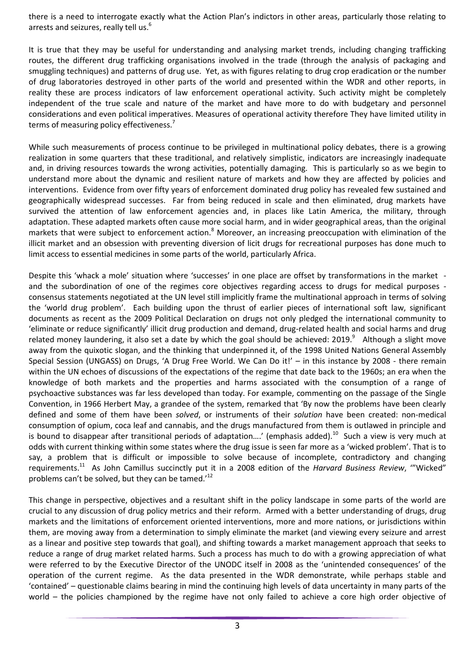there is a need to interrogate exactly what the Action Plan's indictors in other areas, particularly those relating to arrests and seizures, really tell us.<sup>6</sup>

It is true that they may be useful for understanding and analysing market trends, including changing trafficking routes, the different drug trafficking organisations involved in the trade (through the analysis of packaging and smuggling techniques) and patterns of drug use. Yet, as with figures relating to drug crop eradication or the number of drug laboratories destroyed in other parts of the world and presented within the WDR and other reports, in reality these are process indicators of law enforcement operational activity. Such activity might be completely independent of the true scale and nature of the market and have more to do with budgetary and personnel considerations and even political imperatives. Measures of operational activity therefore They have limited utility in terms of measuring policy effectiveness.<sup>7</sup>

While such measurements of process continue to be privileged in multinational policy debates, there is a growing realization in some quarters that these traditional, and relatively simplistic, indicators are increasingly inadequate and, in driving resources towards the wrong activities, potentially damaging. This is particularly so as we begin to understand more about the dynamic and resilient nature of markets and how they are affected by policies and interventions. Evidence from over fifty years of enforcement dominated drug policy has revealed few sustained and geographically widespread successes. Far from being reduced in scale and then eliminated, drug markets have survived the attention of law enforcement agencies and, in places like Latin America, the military, through adaptation. These adapted markets often cause more social harm, and in wider geographical areas, than the original markets that were subject to enforcement action.<sup>8</sup> Moreover, an increasing preoccupation with elimination of the illicit market and an obsession with preventing diversion of licit drugs for recreational purposes has done much to limit access to essential medicines in some parts of the world, particularly Africa.

Despite this 'whack a mole' situation where 'successes' in one place are offset by transformations in the market and the subordination of one of the regimes core objectives regarding access to drugs for medical purposes consensus statements negotiated at the UN level still implicitly frame the multinational approach in terms of solving the 'world drug problem'. Each building upon the thrust of earlier pieces of international soft law, significant documents as recent as the 2009 Political Declaration on drugs not only pledged the international community to 'eliminate or reduce significantly' illicit drug production and demand, drug-related health and social harms and drug related money laundering, it also set a date by which the goal should be achieved: 2019. $^9$  Although a slight move away from the quixotic slogan, and the thinking that underpinned it, of the 1998 United Nations General Assembly Special Session (UNGASS) on Drugs, 'A Drug Free World. We Can Do it!' – in this instance by 2008 - there remain within the UN echoes of discussions of the expectations of the regime that date back to the 1960s; an era when the knowledge of both markets and the properties and harms associated with the consumption of a range of psychoactive substances was far less developed than today. For example, commenting on the passage of the Single Convention, in 1966 Herbert May, a grandee of the system, remarked that 'By now the problems have been clearly defined and some of them have been *solved*, or instruments of their *solution* have been created: non-medical consumption of opium, coca leaf and cannabis, and the drugs manufactured from them is outlawed in principle and is bound to disappear after transitional periods of adaptation....' (emphasis added).<sup>10</sup> Such a view is very much at odds with current thinking within some states where the drug issue is seen far more as a 'wicked problem'. That is to say, a problem that is difficult or impossible to solve because of incomplete, contradictory and changing requirements.<sup>11</sup> As John Camillus succinctly put it in a 2008 edition of the *Harvard Business Review*, '"Wicked" problems can't be solved, but they can be tamed.'<sup>12</sup>

This change in perspective, objectives and a resultant shift in the policy landscape in some parts of the world are crucial to any discussion of drug policy metrics and their reform. Armed with a better understanding of drugs, drug markets and the limitations of enforcement oriented interventions, more and more nations, or jurisdictions within them, are moving away from a determination to simply eliminate the market (and viewing every seizure and arrest as a linear and positive step towards that goal), and shifting towards a market management approach that seeks to reduce a range of drug market related harms. Such a process has much to do with a growing appreciation of what were referred to by the Executive Director of the UNODC itself in 2008 as the 'unintended consequences' of the operation of the current regime. As the data presented in the WDR demonstrate, while perhaps stable and 'contained' – questionable claims bearing in mind the continuing high levels of data uncertainty in many parts of the world – the policies championed by the regime have not only failed to achieve a core high order objective of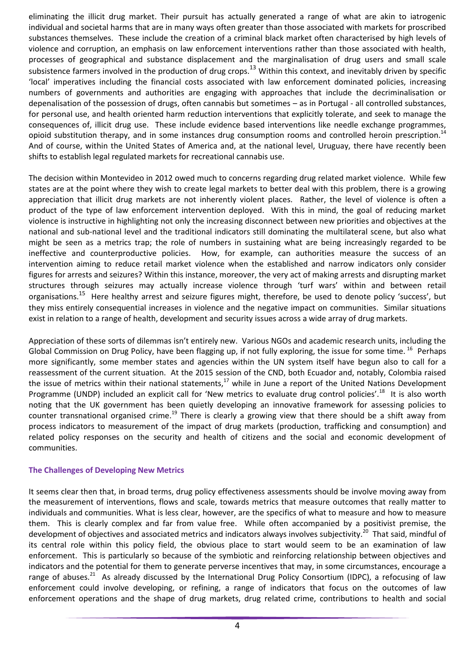eliminating the illicit drug market. Their pursuit has actually generated a range of what are akin to iatrogenic individual and societal harms that are in many ways often greater than those associated with markets for proscribed substances themselves. These include the creation of a criminal black market often characterised by high levels of violence and corruption, an emphasis on law enforcement interventions rather than those associated with health, processes of geographical and substance displacement and the marginalisation of drug users and small scale subsistence farmers involved in the production of drug crops.<sup>13</sup> Within this context, and inevitably driven by specific 'local' imperatives including the financial costs associated with law enforcement dominated policies, increasing numbers of governments and authorities are engaging with approaches that include the decriminalisation or depenalisation of the possession of drugs, often cannabis but sometimes – as in Portugal - all controlled substances, for personal use, and health oriented harm reduction interventions that explicitly tolerate, and seek to manage the consequences of, illicit drug use. These include evidence based interventions like needle exchange programmes, opioid substitution therapy, and in some instances drug consumption rooms and controlled heroin prescription.<sup>14</sup> And of course, within the United States of America and, at the national level, Uruguay, there have recently been shifts to establish legal regulated markets for recreational cannabis use.

The decision within Montevideo in 2012 owed much to concerns regarding drug related market violence. While few states are at the point where they wish to create legal markets to better deal with this problem, there is a growing appreciation that illicit drug markets are not inherently violent places. Rather, the level of violence is often a product of the type of law enforcement intervention deployed. With this in mind, the goal of reducing market violence is instructive in highlighting not only the increasing disconnect between new priorities and objectives at the national and sub-national level and the traditional indicators still dominating the multilateral scene, but also what might be seen as a metrics trap; the role of numbers in sustaining what are being increasingly regarded to be ineffective and counterproductive policies. How, for example, can authorities measure the success of an intervention aiming to reduce retail market violence when the established and narrow indicators only consider figures for arrests and seizures? Within this instance, moreover, the very act of making arrests and disrupting market structures through seizures may actually increase violence through 'turf wars' within and between retail organisations.<sup>15</sup> Here healthy arrest and seizure figures might, therefore, be used to denote policy 'success', but they miss entirely consequential increases in violence and the negative impact on communities. Similar situations exist in relation to a range of health, development and security issues across a wide array of drug markets.

Appreciation of these sorts of dilemmas isn't entirely new. Various NGOs and academic research units, including the Global Commission on Drug Policy, have been flagging up, if not fully exploring, the issue for some time. <sup>16</sup> Perhaps more significantly, some member states and agencies within the UN system itself have begun also to call for a reassessment of the current situation. At the 2015 session of the CND, both Ecuador and, notably, Colombia raised the issue of metrics within their national statements, $17$  while in June a report of the United Nations Development Programme (UNDP) included an explicit call for 'New metrics to evaluate drug control policies'.<sup>18</sup> It is also worth noting that the UK government has been quietly developing an innovative framework for assessing policies to counter transnational organised crime.<sup>19</sup> There is clearly a growing view that there should be a shift away from process indicators to measurement of the impact of drug markets (production, trafficking and consumption) and related policy responses on the security and health of citizens and the social and economic development of communities.

## **The Challenges of Developing New Metrics**

It seems clear then that, in broad terms, drug policy effectiveness assessments should be involve moving away from the measurement of interventions, flows and scale, towards metrics that measure outcomes that really matter to individuals and communities. What is less clear, however, are the specifics of what to measure and how to measure them. This is clearly complex and far from value free. While often accompanied by a positivist premise, the development of objectives and associated metrics and indicators always involves subjectivity.<sup>20</sup> That said, mindful of its central role within this policy field, the obvious place to start would seem to be an examination of law enforcement. This is particularly so because of the symbiotic and reinforcing relationship between objectives and indicators and the potential for them to generate perverse incentives that may, in some circumstances, encourage a range of abuses.<sup>21</sup> As already discussed by the International Drug Policy Consortium (IDPC), a refocusing of law enforcement could involve developing, or refining, a range of indicators that focus on the outcomes of law enforcement operations and the shape of drug markets, drug related crime, contributions to health and social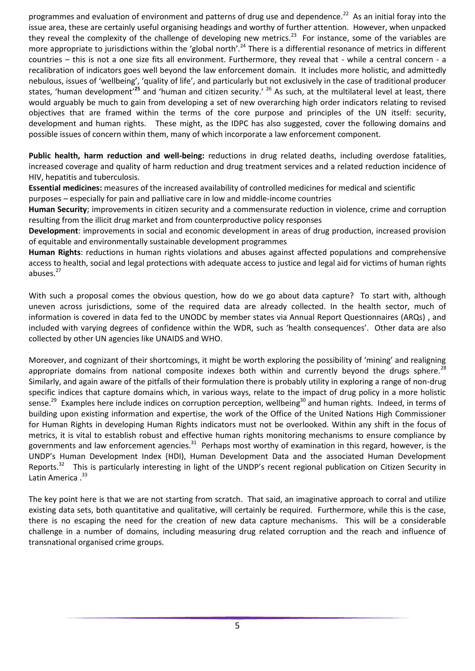programmes and evaluation of environment and patterns of drug use and dependence.<sup>22</sup> As an initial foray into the issue area, these are certainly useful organising headings and worthy of further attention. However, when unpacked they reveal the complexity of the challenge of developing new metrics.<sup>23</sup> For instance, some of the variables are more appropriate to jurisdictions within the 'global north'.<sup>24</sup> There is a differential resonance of metrics in different countries – this is not a one size fits all environment. Furthermore, they reveal that - while a central concern - a recalibration of indicators goes well beyond the law enforcement domain. It includes more holistic, and admittedly nebulous, issues of 'wellbeing', 'quality of life', and particularly but not exclusively in the case of traditional producer states, 'human development'**<sup>25</sup>** and 'human and citizen security.' <sup>26</sup> As such, at the multilateral level at least, there would arguably be much to gain from developing a set of new overarching high order indicators relating to revised objectives that are framed within the terms of the core purpose and principles of the UN itself: security, development and human rights. These might, as the IDPC has also suggested, cover the following domains and possible issues of concern within them, many of which incorporate a law enforcement component.

**Public health, harm reduction and well-being:** reductions in drug related deaths, including overdose fatalities, increased coverage and quality of harm reduction and drug treatment services and a related reduction incidence of HIV, hepatitis and tuberculosis.

**Essential medicines:** measures of the increased availability of controlled medicines for medical and scientific purposes – especially for pain and palliative care in low and middle-income countries

**Human Security**; improvements in citizen security and a commensurate reduction in violence, crime and corruption resulting from the illicit drug market and from counterproductive policy responses

**Development**: improvements in social and economic development in areas of drug production, increased provision of equitable and environmentally sustainable development programmes

**Human Rights**: reductions in human rights violations and abuses against affected populations and comprehensive access to health, social and legal protections with adequate access to justice and legal aid for victims of human rights abuses.<sup>27</sup>

With such a proposal comes the obvious question, how do we go about data capture? To start with, although uneven across jurisdictions, some of the required data are already collected. In the health sector, much of information is covered in data fed to the UNODC by member states via Annual Report Questionnaires (ARQs) , and included with varying degrees of confidence within the WDR, such as 'health consequences'. Other data are also collected by other UN agencies like UNAIDS and WHO.

Moreover, and cognizant of their shortcomings, it might be worth exploring the possibility of 'mining' and realigning appropriate domains from national composite indexes both within and currently beyond the drugs sphere.<sup>28</sup> Similarly, and again aware of the pitfalls of their formulation there is probably utility in exploring a range of non-drug specific indices that capture domains which, in various ways, relate to the impact of drug policy in a more holistic sense.<sup>29</sup> Examples here include indices on corruption perception, wellbeing<sup>30</sup> and human rights. Indeed, in terms of building upon existing information and expertise, the work of the Office of the United Nations High Commissioner for Human Rights in developing Human Rights indicators must not be overlooked. Within any shift in the focus of metrics, it is vital to establish robust and effective human rights monitoring mechanisms to ensure compliance by governments and law enforcement agencies.<sup>31</sup> Perhaps most worthy of examination in this regard, however, is the UNDP's Human Development Index (HDI), Human Development Data and the associated Human Development Reports.<sup>32</sup> This is particularly interesting in light of the UNDP's recent regional publication on Citizen Security in Latin America . 33

The key point here is that we are not starting from scratch. That said, an imaginative approach to corral and utilize existing data sets, both quantitative and qualitative, will certainly be required. Furthermore, while this is the case, there is no escaping the need for the creation of new data capture mechanisms. This will be a considerable challenge in a number of domains, including measuring drug related corruption and the reach and influence of transnational organised crime groups.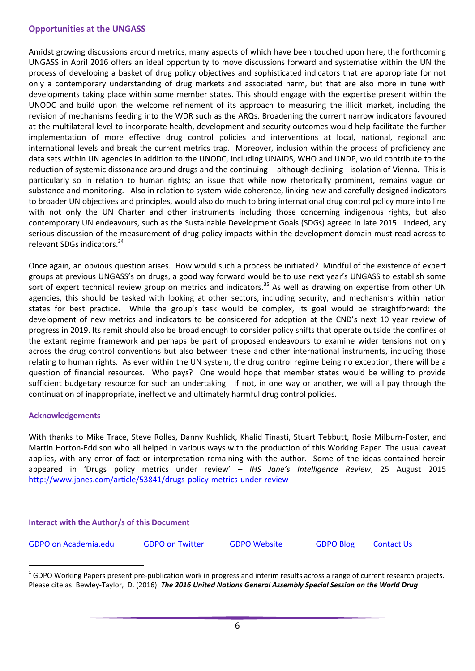#### **Opportunities at the UNGASS**

Amidst growing discussions around metrics, many aspects of which have been touched upon here, the forthcoming UNGASS in April 2016 offers an ideal opportunity to move discussions forward and systematise within the UN the process of developing a basket of drug policy objectives and sophisticated indicators that are appropriate for not only a contemporary understanding of drug markets and associated harm, but that are also more in tune with developments taking place within some member states. This should engage with the expertise present within the UNODC and build upon the welcome refinement of its approach to measuring the illicit market, including the revision of mechanisms feeding into the WDR such as the ARQs. Broadening the current narrow indicators favoured at the multilateral level to incorporate health, development and security outcomes would help facilitate the further implementation of more effective drug control policies and interventions at local, national, regional and international levels and break the current metrics trap. Moreover, inclusion within the process of proficiency and data sets within UN agencies in addition to the UNODC, including UNAIDS, WHO and UNDP, would contribute to the reduction of systemic dissonance around drugs and the continuing - although declining - isolation of Vienna. This is particularly so in relation to human rights; an issue that while now rhetorically prominent, remains vague on substance and monitoring. Also in relation to system-wide coherence, linking new and carefully designed indicators to broader UN objectives and principles, would also do much to bring international drug control policy more into line with not only the UN Charter and other instruments including those concerning indigenous rights, but also contemporary UN endeavours, such as the Sustainable Development Goals (SDGs) agreed in late 2015. Indeed, any serious discussion of the measurement of drug policy impacts within the development domain must read across to relevant SDGs indicators.<sup>34</sup>

Once again, an obvious question arises. How would such a process be initiated? Mindful of the existence of expert groups at previous UNGASS's on drugs, a good way forward would be to use next year's UNGASS to establish some sort of expert technical review group on metrics and indicators.<sup>35</sup> As well as drawing on expertise from other UN agencies, this should be tasked with looking at other sectors, including security, and mechanisms within nation states for best practice. While the group's task would be complex, its goal would be straightforward: the development of new metrics and indicators to be considered for adoption at the CND's next 10 year review of progress in 2019. Its remit should also be broad enough to consider policy shifts that operate outside the confines of the extant regime framework and perhaps be part of proposed endeavours to examine wider tensions not only across the drug control conventions but also between these and other international instruments, including those relating to human rights. As ever within the UN system, the drug control regime being no exception, there will be a question of financial resources. Who pays? One would hope that member states would be willing to provide sufficient budgetary resource for such an undertaking. If not, in one way or another, we will all pay through the continuation of inappropriate, ineffective and ultimately harmful drug control policies.

#### **Acknowledgements**

With thanks to Mike Trace, Steve Rolles, Danny Kushlick, Khalid Tinasti, Stuart Tebbutt, Rosie Milburn-Foster, and Martin Horton-Eddison who all helped in various ways with the production of this Working Paper. The usual caveat applies, with any error of fact or interpretation remaining with the author. Some of the ideas contained herein appeared in 'Drugs policy metrics under review' – *IHS Jane's Intelligence Review*, 25 August 2015 <http://www.janes.com/article/53841/drugs-policy-metrics-under-review>

#### **Interact with the Author/s of this Document**

[GDPO on Academia.edu](https://swansea.academia.edu/GDPOGlobalDrugPolicyObservatory) [GDPO on Twitter](https://twitter.com/gdpo_swan) [GDPO Website](http://www.swansea.ac.uk/gdpo/) [GDPO Blog](http://gdpo.swan.ac.uk/) [Contact Us](http://www.swansea.ac.uk/gdpo/contactus/)

<u>.</u>

 $^1$  GDPO Working Papers present pre-publication work in progress and interim results across a range of current research projects. Please cite as: Bewley-Taylor, D. (2016). *The 2016 United Nations General Assembly Special Session on the World Drug*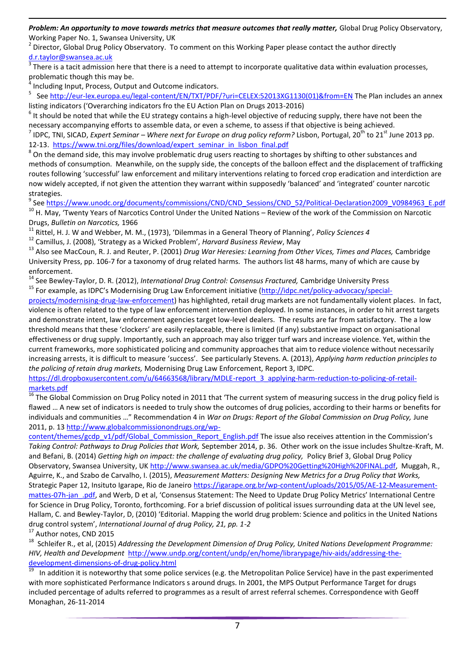Problem: An opportunity to move towards metrics that measure outcomes that really matter, Global Drug Policy Observatory, Working Paper No. 1, Swansea University, UK

<sup>2</sup> Director, Global Drug Policy Observatory. To comment on this Working Paper please contact the author directly

<u>[d.r.taylor@swansea.ac.uk](mailto:d.r.taylor@swansea.ac.uk)</u><br><sup>3</sup> There is a tacit admission here that there is a need to attempt to incorporate qualitative data within evaluation processes, problematic though this may be.<br><sup>4</sup> Including lanyt, Process, Output

Including Input, Process, Output and Outcome indicators.

<u>.</u>

5 See [http://eur-lex.europa.eu/legal-content/EN/TXT/PDF/?uri=CELEX:52013XG1130\(01\)&from=EN](http://eur-lex.europa.eu/legal-content/EN/TXT/PDF/?uri=CELEX:52013XG1130(01)&from=EN) The Plan includes an annex listing indicators ('Overarching indicators fro the EU Action Plan on Drugs 2013-2016)

 $^6$  It should be noted that while the EU strategy contains a high-level objective of reducing supply, there have not been the necessary accompanying efforts to assemble data, or even a scheme, to assess if that objective is being achieved.

<sup>7</sup> IDPC, TNI, SICAD, *Expert Seminar – Where next for Europe on drug policy reform? Lisbon, Portugal, 20<sup>th</sup> to 21<sup>st</sup> June 2013 pp.* 12-13. [https://www.tni.org/files/download/expert\\_seminar\\_in\\_lisbon\\_final.pdf](https://www.tni.org/files/download/expert_seminar_in_lisbon_final.pdf)

 $^8$  On the demand side, this may involve problematic drug users reacting to shortages by shifting to other substances and methods of consumption. Meanwhile, on the supply side, the concepts of the balloon effect and the displacement of trafficking routes following 'successful' law enforcement and military interventions relating to forced crop eradication and interdiction are now widely accepted, if not given the attention they warrant within supposedly 'balanced' and 'integrated' counter narcotic strategies.

<sup>9</sup> See https://www.unodc.org/documents/commissions/CND/CND Sessions/CND 52/Political-Declaration2009 V0984963 E.pdf <sup>10</sup> H. May, 'Twenty Years of Narcotics Control Under the United Nations – Review of the work of the Commission on Narcotic Drugs, *Bulletin on Narcotics,* 1966

<sup>11</sup> Rittel, H. J. W and Webber, M. M., (1973), 'Dilemmas in a General Theory of Planning', *Policy Sciences 4* 

<sup>12</sup> Camillus, J. (2008), 'Strategy as a Wicked Problem', *Harvard Business Review*, May

<sup>13</sup> Also see MacCoun, R. J. and Reuter, P. (2001) *Drug War Heresies: Learning from Other Vices, Times and Places,* Cambridge University Press, pp. 106-7 for a taxonomy of drug related harms. The authors list 48 harms, many of which are cause by enforcement.

<sup>14</sup> See Bewley-Taylor, D. R. (2012), *International Drug Control: Consensus Fractured,* Cambridge University Press

<sup>15</sup> For example, as IDPC's Modernising Drug Law Enforcement initiative ([http://idpc.net/policy-advocacy/special-](http://idpc.net/policy-advocacy/special-projects/modernising-drug-law-enforcement)

[projects/modernising-drug-law-enforcement\)](http://idpc.net/policy-advocacy/special-projects/modernising-drug-law-enforcement) has highlighted, retail drug markets are not fundamentally violent places. In fact, violence is often related to the type of law enforcement intervention deployed. In some instances, in order to hit arrest targets and demonstrate intent, law enforcement agencies target low-level dealers. The results are far from satisfactory. The a low threshold means that these 'clockers' are easily replaceable, there is limited (if any) substantive impact on organisational effectiveness or drug supply. Importantly, such an approach may also trigger turf wars and increase violence. Yet, within the current frameworks, more sophisticated policing and community approaches that aim to reduce violence without necessarily increasing arrests, it is difficult to measure 'success'. See particularly Stevens. A. (2013), *Applying harm reduction principles to the policing of retain drug markets,* Modernising Drug Law Enforcement, Report 3, IDPC.

[https://dl.dropboxusercontent.com/u/64663568/library/MDLE-report\\_3\\_applying-harm-reduction-to-policing-of-retail](https://dl.dropboxusercontent.com/u/64663568/library/MDLE-report_3_applying-harm-reduction-to-policing-of-retail-markets.pdf)[markets.pdf](https://dl.dropboxusercontent.com/u/64663568/library/MDLE-report_3_applying-harm-reduction-to-policing-of-retail-markets.pdf)

In The Global Commission on Drug Policy noted in 2011 that 'The current system of measuring success in the drug policy field is flawed … A new set of indicators is needed to truly show the outcomes of drug policies, according to their harms or benefits for individuals and communities …" Recommendation 4 in *War on Drugs: Report of the Global Commission on Drug Policy,* June 2011, p. 1[3 http://www.globalcommissionondrugs.org/wp-](http://www.globalcommissionondrugs.org/wp-content/themes/gcdp_v1/pdf/Global_Commission_Report_English.pdf)

[content/themes/gcdp\\_v1/pdf/Global\\_Commission\\_Report\\_English.pdf](http://www.globalcommissionondrugs.org/wp-content/themes/gcdp_v1/pdf/Global_Commission_Report_English.pdf) The issue also receives attention in the Commission's *Taking Control: Pathways to Drug Policies that Work,* September 2014, p. 36. Other work on the issue includes Shultze-Kraft, M. and Befani, B. (2014) *Getting high on impact: the challenge of evaluating drug policy,* Policy Brief 3, Global Drug Policy Observatory, Swansea University, UK [http://www.swansea.ac.uk/media/GDPO%20Getting%20High%20FINAL.pdf,](http://www.swansea.ac.uk/media/GDPO%20Getting%20High%20FINAL.pdf) Muggah, R., Aguirre, K., and Szabo de Carvalho, I. (2015), *Measurement Matters: Designing New Metrics for a Drug Policy that Works,*  Strategic Paper 12, Insituto Igarape, Rio de Janeiro [https://igarape.org.br/wp-content/uploads/2015/05/AE-12-Measurement](https://igarape.org.br/wp-content/uploads/2015/05/AE-12-Measurement-mattes-07h-jan_.pdf)mattes-07h-jan .pdf, and Werb, D et al, 'Consensus Statement: The Need to Update Drug Policy Metrics' International Centre for Science in Drug Policy, Toronto, forthcoming. For a brief discussion of political issues surrounding data at the UN level see, Hallam, C. and Bewley-Taylor, D, (2010) 'Editorial. Mapping the world drug problem: Science and politics in the United Nations drug control system', *International Journal of drug Policy, 21, pp. 1-2* 

<sup>17</sup> Author notes, CND 2015

<sup>18</sup> Schleifer R., et al, (2015) *Addressing the Development Dimension of Drug Policy, United Nations Development Programme: HIV, Health and Development* [http://www.undp.org/content/undp/en/home/librarypage/hiv-aids/addressing-the](http://www.undp.org/content/undp/en/home/librarypage/hiv-aids/addressing-the-development-dimensions-of-drug-policy.html)[development-dimensions-of-drug-policy.html](http://www.undp.org/content/undp/en/home/librarypage/hiv-aids/addressing-the-development-dimensions-of-drug-policy.html)<br><sup>19</sup> Jp addition it is notowerthy that some polit

 In addition it is noteworthy that some police services (e.g. the Metropolitan Police Service) have in the past experimented with more sophisticated Performance Indicators s around drugs. In 2001, the MPS Output Performance Target for drugs included percentage of adults referred to programmes as a result of arrest referral schemes. Correspondence with Geoff Monaghan, 26-11-2014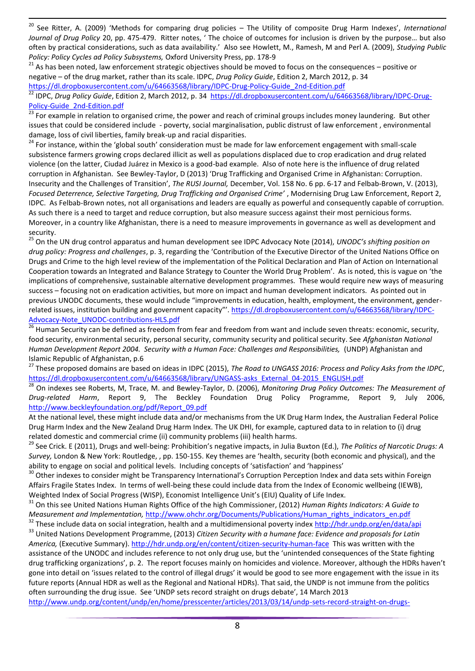$20\,$ <sup>20</sup> See Ritter, A. (2009) 'Methods for comparing drug policies – The Utility of composite Drug Harm Indexes', *International Journal of Drug Policy* 20, pp. 475-479. Ritter notes, ' The choice of outcomes for inclusion is driven by the purpose… but also often by practical considerations, such as data availability.' Also see Howlett, M., Ramesh, M and Perl A. (2009), *Studying Public Policy: Policy Cycles ad Policy Subsystems,* Oxford University Press, pp. 178-9

 $21$  As has been noted, law enforcement strategic objectives should be moved to focus on the consequences – positive or negative – of the drug market, rather than its scale. IDPC, *Drug Policy Guide*, Edition 2, March 2012, p. 34

[https://dl.dropboxusercontent.com/u/64663568/library/IDPC-Drug-Policy-Guide\\_2nd-Edition.pdf](https://dl.dropboxusercontent.com/u/64663568/library/IDPC-Drug-Policy-Guide_2nd-Edition.pdf)<br>22 IDDC\_Drug Deliau Cuide F live C 2000

<sup>22</sup> IDPC, *Drug Policy Guide*, Edition 2, March 2012, p. 34 [https://dl.dropboxusercontent.com/u/64663568/library/IDPC-Drug-](https://dl.dropboxusercontent.com/u/64663568/library/IDPC-Drug-Policy-Guide_2nd-Edition.pdf)[Policy-Guide\\_2nd-Edition.pdf](https://dl.dropboxusercontent.com/u/64663568/library/IDPC-Drug-Policy-Guide_2nd-Edition.pdf)

**23 For example in relation to organised crime, the power and reach of criminal groups includes money laundering. But other** issues that could be considered include - poverty, social marginalisation, public distrust of law enforcement , environmental damage, loss of civil liberties, family break-up and racial disparities.

<sup>24</sup> For instance, within the 'global south' consideration must be made for law enforcement engagement with small-scale subsistence farmers growing crops declared illicit as well as populations displaced due to crop eradication and drug related violence (on the latter, Ciudad Juárez in Mexico is a good-bad example. Also of note here is the influence of drug related corruption in Afghanistan. See Bewley-Taylor, D (2013) 'Drug Trafficking and Organised Crime in Afghanistan: Corruption. Insecurity and the Challenges of Transition', *The RUSI Journal,* December, Vol. 158 No. 6 pp. 6-17 and Felbab-Brown, V. (2013), *Focused Deterrence, Selective Targeting, Drug Trafficking and Organised Crime'* , Modernising Drug Law Enforcement, Report 2, IDPC. As Felbab-Brown notes, not all organisations and leaders are equally as powerful and consequently capable of corruption. As such there is a need to target and reduce corruption, but also measure success against their most pernicious forms. Moreover, in a country like Afghanistan, there is a need to measure improvements in governance as well as development and security.

<sup>25</sup> On the UN drug control apparatus and human development see IDPC Advocacy Note (2014), *UNODC's shifting position on drug policy: Progress and challenges*, p. 3, regarding the 'Contribution of the Executive Director of the United Nations Office on Drugs and Crime to the high level review of the implementation of the Political Declaration and Plan of Action on International Cooperation towards an Integrated and Balance Strategy to Counter the World Drug Problem'. As is noted, this is vague on 'the implications of comprehensive, sustainable alternative development programmes. These would require new ways of measuring success – focusing not on eradication activities, but more on impact and human development indicators. As pointed out in previous UNODC documents, these would include "improvements in education, health, employment, the environment, genderrelated issues, institution building and government capacity"'. [https://dl.dropboxusercontent.com/u/64663568/library/IDPC-](https://dl.dropboxusercontent.com/u/64663568/library/IDPC-Advocacy-Note_UNODC-contributions-HLS.pdf)[Advocacy-Note\\_UNODC-contributions-HLS.pdf](https://dl.dropboxusercontent.com/u/64663568/library/IDPC-Advocacy-Note_UNODC-contributions-HLS.pdf)

<sup>26</sup> Human Security can be defined as freedom from fear and freedom from want and include seven threats: economic, security, food security, environmental security, personal security, community security and political security. See *Afghanistan National Human Development Report 2004. Security with a Human Face: Challenges and Responsibilities,* (UNDP) Afghanistan and Islamic Republic of Afghanistan, p.6

<sup>27</sup> These proposed domains are based on ideas in IDPC (2015), *The Road to UNGASS 2016: Process and Policy Asks from the IDPC*, [https://dl.dropboxusercontent.com/u/64663568/library/UNGASS-asks\\_External\\_04-2015\\_ENGLISH.pdf](https://dl.dropboxusercontent.com/u/64663568/library/UNGASS-asks_External_04-2015_ENGLISH.pdf)

<sup>28</sup> On indexes see Roberts, M, Trace, M. and Bewley-Taylor, D. (2006), *Monitoring Drug Policy Outcomes: The Measurement of Drug-related Harm*, Report 9, The Beckley Foundation Drug Policy Programme, Report 9, July 2006, [http://www.beckleyfoundation.org/pdf/Report\\_09.pdf](http://www.beckleyfoundation.org/pdf/Report_09.pdf)

At the national level, these might include data and/or mechanisms from the UK Drug Harm Index, the Australian Federal Police Drug Harm Index and the New Zealand Drug Harm Index. The UK DHI, for example, captured data to in relation to (i) drug related domestic and commercial crime (ii) community problems (iii) health harms.

<sup>29</sup> See Crick. E (2011), Drugs and well-being: Prohibition's negative impacts, in Julia Buxton (Ed.), *The Politics of Narcotic Drugs: A Survey,* London & New York: Routledge, , pp. 150-155. Key themes are 'health, security (both economic and physical), and the ability to engage on social and political levels. Including concepts of 'satisfaction' and 'happiness'

<sup>30</sup> Other indexes to consider might be Transparency International's Corruption Perception Index and data sets within Foreign Affairs Fragile States Index. In terms of well-being these could include data from the Index of Economic wellbeing (IEWB), Weighted Index of Social Progress (WISP), Economist Intelligence Unit's (EIU) Quality of Life Index.

<sup>31</sup> On this see United Nations Human Rights Office of the high Commissioner, (2012) *Human Rights Indicators: A Guide to Measurement and Implementation,* [http://www.ohchr.org/Documents/Publications/Human\\_rights\\_indicators\\_en.pdf](http://www.ohchr.org/Documents/Publications/Human_rights_indicators_en.pdf)

Account the improduction of the control of the control of the control of the control of the control of the control of the control of the control of the control of the control of the control of the control of the control of <sup>33</sup> United Nations Development Programme, (2013) *Citizen Security with a humane face: Evidence and proposals for Latin America,* (Executive Summary).<http://hdr.undp.org/en/content/citizen-security-human-face>This was written with the assistance of the UNODC and includes reference to not only drug use, but the 'unintended consequences of the State fighting

drug trafficking organizations', p. 2. The report focuses mainly on homicides and violence. Moreover, although the HDRs haven't gone into detail on 'issues related to the control of illegal drugs' it would be good to see more engagement with the issue in its future reports (Annual HDR as well as the Regional and National HDRs). That said, the UNDP is not immune from the politics often surrounding the drug issue. See 'UNDP sets record straight on drugs debate', 14 March 2013

[http://www.undp.org/content/undp/en/home/presscenter/articles/2013/03/14/undp-sets-record-straight-on-drugs-](http://www.undp.org/content/undp/en/home/presscenter/articles/2013/03/14/undp-sets-record-straight-on-drugs-debate.html)